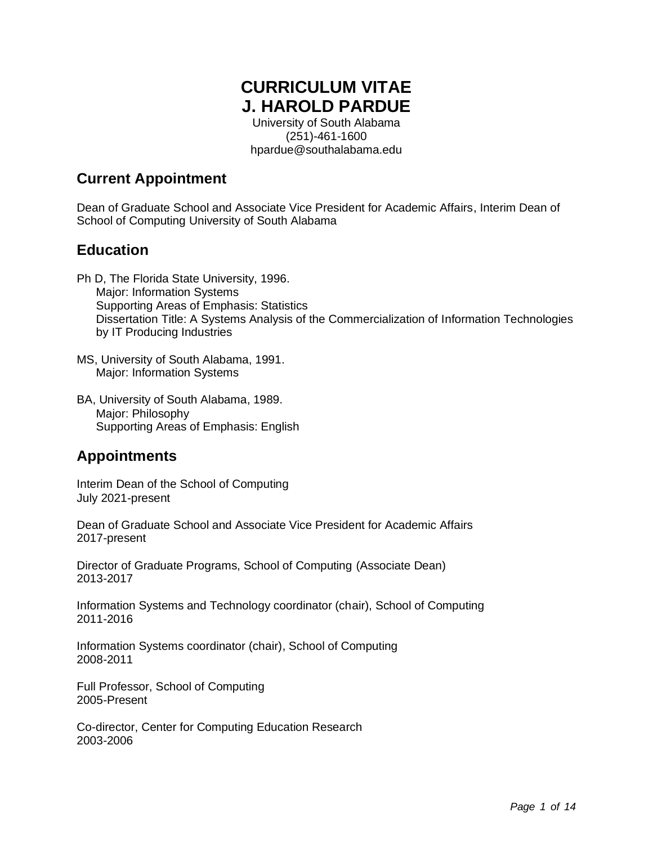# **CURRICULUM VITAE J. HAROLD PARDUE**

University of South Alabama (251)-461-1600 hpardue@southalabama.edu

## **Current Appointment**

Dean of Graduate School and Associate Vice President for Academic Affairs, Interim Dean of School of Computing University of South Alabama

## **Education**

- Ph D, The Florida State University, 1996. Major: Information Systems Supporting Areas of Emphasis: Statistics Dissertation Title: A Systems Analysis of the Commercialization of Information Technologies by IT Producing Industries
- MS, University of South Alabama, 1991. Major: Information Systems
- BA, University of South Alabama, 1989. Major: Philosophy Supporting Areas of Emphasis: English

## **Appointments**

Interim Dean of the School of Computing July 2021-present

Dean of Graduate School and Associate Vice President for Academic Affairs 2017-present

Director of Graduate Programs, School of Computing (Associate Dean) 2013-2017

Information Systems and Technology coordinator (chair), School of Computing 2011-2016

Information Systems coordinator (chair), School of Computing 2008-2011

Full Professor, School of Computing 2005-Present

Co-director, Center for Computing Education Research 2003-2006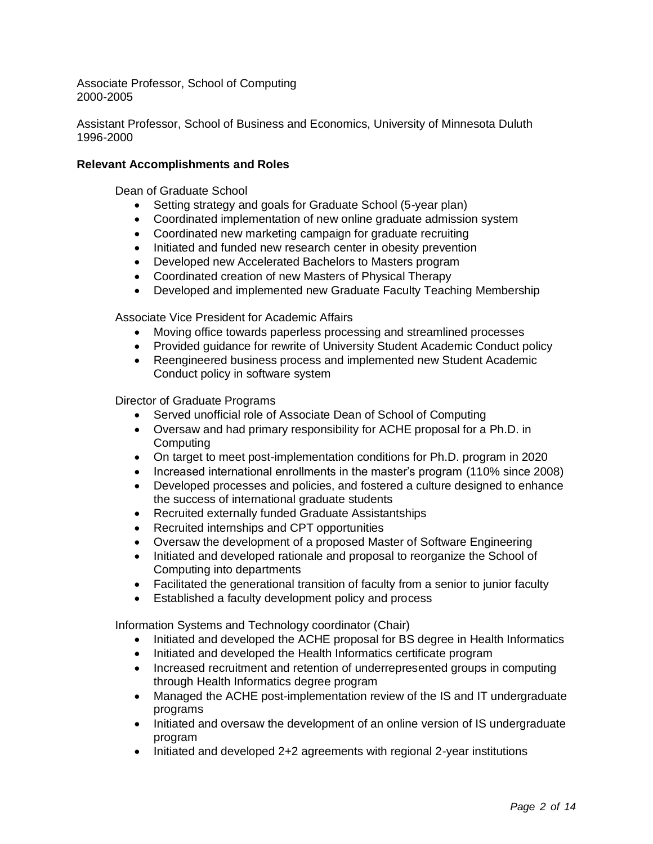Associate Professor, School of Computing 2000-2005

Assistant Professor, School of Business and Economics, University of Minnesota Duluth 1996-2000

#### **Relevant Accomplishments and Roles**

Dean of Graduate School

- Setting strategy and goals for Graduate School (5-year plan)
- Coordinated implementation of new online graduate admission system
- Coordinated new marketing campaign for graduate recruiting
- Initiated and funded new research center in obesity prevention
- Developed new Accelerated Bachelors to Masters program
- Coordinated creation of new Masters of Physical Therapy
- Developed and implemented new Graduate Faculty Teaching Membership

Associate Vice President for Academic Affairs

- Moving office towards paperless processing and streamlined processes
- Provided guidance for rewrite of University Student Academic Conduct policy
- Reengineered business process and implemented new Student Academic Conduct policy in software system

Director of Graduate Programs

- Served unofficial role of Associate Dean of School of Computing
- Oversaw and had primary responsibility for ACHE proposal for a Ph.D. in **Computing**
- On target to meet post-implementation conditions for Ph.D. program in 2020
- Increased international enrollments in the master's program (110% since 2008)
- Developed processes and policies, and fostered a culture designed to enhance the success of international graduate students
- Recruited externally funded Graduate Assistantships
- Recruited internships and CPT opportunities
- Oversaw the development of a proposed Master of Software Engineering
- Initiated and developed rationale and proposal to reorganize the School of Computing into departments
- Facilitated the generational transition of faculty from a senior to junior faculty
- Established a faculty development policy and process

Information Systems and Technology coordinator (Chair)

- Initiated and developed the ACHE proposal for BS degree in Health Informatics
- Initiated and developed the Health Informatics certificate program
- Increased recruitment and retention of underrepresented groups in computing through Health Informatics degree program
- Managed the ACHE post-implementation review of the IS and IT undergraduate programs
- Initiated and oversaw the development of an online version of IS undergraduate program
- Initiated and developed 2+2 agreements with regional 2-year institutions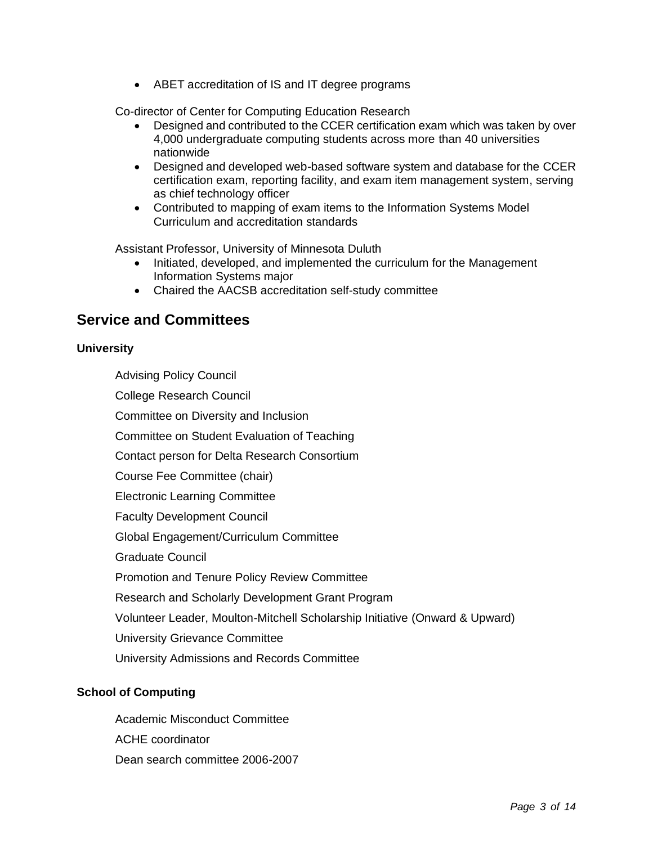• ABET accreditation of IS and IT degree programs

Co-director of Center for Computing Education Research

- Designed and contributed to the CCER certification exam which was taken by over 4,000 undergraduate computing students across more than 40 universities nationwide
- Designed and developed web-based software system and database for the CCER certification exam, reporting facility, and exam item management system, serving as chief technology officer
- Contributed to mapping of exam items to the Information Systems Model Curriculum and accreditation standards

Assistant Professor, University of Minnesota Duluth

- Initiated, developed, and implemented the curriculum for the Management Information Systems major
- Chaired the AACSB accreditation self-study committee

### **Service and Committees**

#### **University**

Advising Policy Council

College Research Council

Committee on Diversity and Inclusion

Committee on Student Evaluation of Teaching

Contact person for Delta Research Consortium

Course Fee Committee (chair)

Electronic Learning Committee

Faculty Development Council

Global Engagement/Curriculum Committee

Graduate Council

Promotion and Tenure Policy Review Committee

Research and Scholarly Development Grant Program

Volunteer Leader, Moulton-Mitchell Scholarship Initiative (Onward & Upward)

University Grievance Committee

University Admissions and Records Committee

#### **School of Computing**

Academic Misconduct Committee ACHE coordinator Dean search committee 2006-2007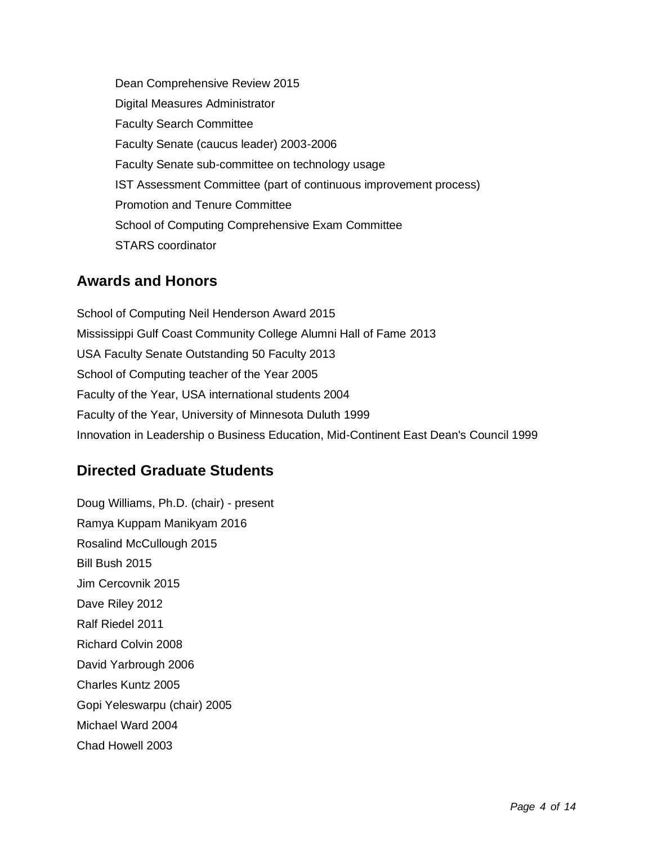Dean Comprehensive Review 2015 Digital Measures Administrator Faculty Search Committee Faculty Senate (caucus leader) 2003-2006 Faculty Senate sub-committee on technology usage IST Assessment Committee (part of continuous improvement process) Promotion and Tenure Committee School of Computing Comprehensive Exam Committee STARS coordinator

## **Awards and Honors**

School of Computing Neil Henderson Award 2015 Mississippi Gulf Coast Community College Alumni Hall of Fame 2013 USA Faculty Senate Outstanding 50 Faculty 2013 School of Computing teacher of the Year 2005 Faculty of the Year, USA international students 2004 Faculty of the Year, University of Minnesota Duluth 1999 Innovation in Leadership o Business Education, Mid-Continent East Dean's Council 1999

## **Directed Graduate Students**

Doug Williams, Ph.D. (chair) - present Ramya Kuppam Manikyam 2016 Rosalind McCullough 2015 Bill Bush 2015 Jim Cercovnik 2015 Dave Riley 2012 Ralf Riedel 2011 Richard Colvin 2008 David Yarbrough 2006 Charles Kuntz 2005 Gopi Yeleswarpu (chair) 2005 Michael Ward 2004 Chad Howell 2003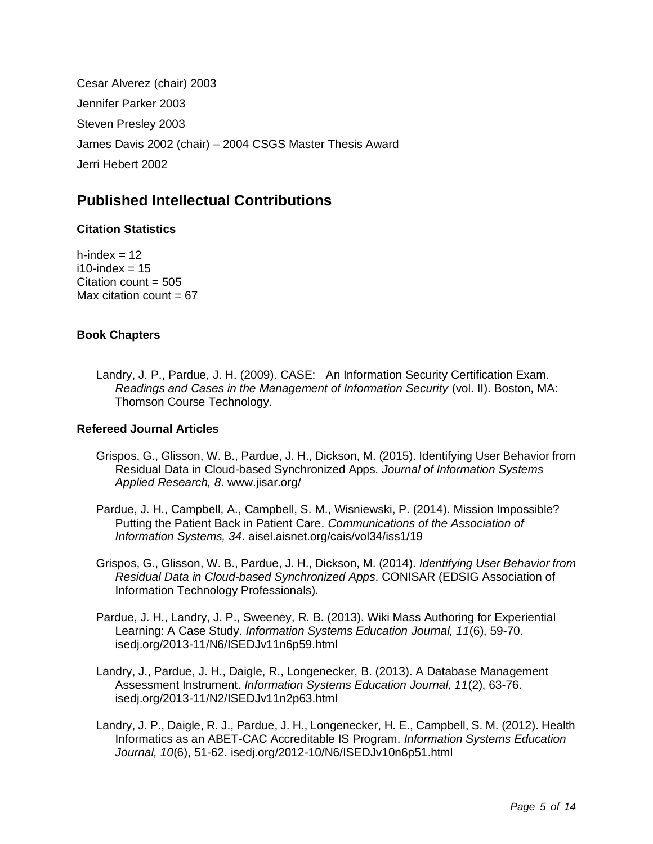Cesar Alverez (chair) 2003 Jennifer Parker 2003 Steven Presley 2003 James Davis 2002 (chair) – 2004 CSGS Master Thesis Award Jerri Hebert 2002

## **Published Intellectual Contributions**

#### **Citation Statistics**

h-index  $= 12$  $i10$ -index = 15 Citation count  $= 505$ Max citation count  $= 67$ 

#### **Book Chapters**

Landry, J. P., Pardue, J. H. (2009). CASE: An Information Security Certification Exam. *Readings and Cases in the Management of Information Security* (vol. II). Boston, MA: Thomson Course Technology.

#### **Refereed Journal Articles**

- Grispos, G., Glisson, W. B., Pardue, J. H., Dickson, M. (2015). Identifying User Behavior from Residual Data in Cloud-based Synchronized Apps. *Journal of Information Systems Applied Research, 8*. www.jisar.org/
- Pardue, J. H., Campbell, A., Campbell, S. M., Wisniewski, P. (2014). Mission Impossible? Putting the Patient Back in Patient Care. *Communications of the Association of Information Systems, 34*. aisel.aisnet.org/cais/vol34/iss1/19
- Grispos, G., Glisson, W. B., Pardue, J. H., Dickson, M. (2014). *Identifying User Behavior from Residual Data in Cloud-based Synchronized Apps*. CONISAR (EDSIG Association of Information Technology Professionals).
- Pardue, J. H., Landry, J. P., Sweeney, R. B. (2013). Wiki Mass Authoring for Experiential Learning: A Case Study. *Information Systems Education Journal, 11*(6), 59-70. isedj.org/2013-11/N6/ISEDJv11n6p59.html
- Landry, J., Pardue, J. H., Daigle, R., Longenecker, B. (2013). A Database Management Assessment Instrument. *Information Systems Education Journal, 11*(2), 63-76. isedj.org/2013-11/N2/ISEDJv11n2p63.html
- Landry, J. P., Daigle, R. J., Pardue, J. H., Longenecker, H. E., Campbell, S. M. (2012). Health Informatics as an ABET-CAC Accreditable IS Program. *Information Systems Education Journal, 10*(6), 51-62. isedj.org/2012-10/N6/ISEDJv10n6p51.html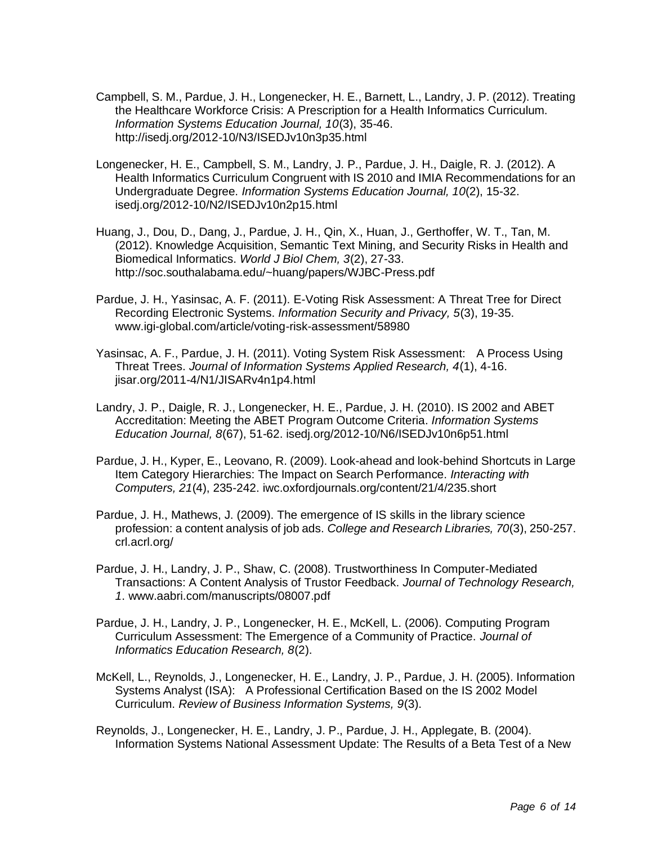- Campbell, S. M., Pardue, J. H., Longenecker, H. E., Barnett, L., Landry, J. P. (2012). Treating the Healthcare Workforce Crisis: A Prescription for a Health Informatics Curriculum. *Information Systems Education Journal, 10*(3), 35-46. http://isedj.org/2012-10/N3/ISEDJv10n3p35.html
- Longenecker, H. E., Campbell, S. M., Landry, J. P., Pardue, J. H., Daigle, R. J. (2012). A Health Informatics Curriculum Congruent with IS 2010 and IMIA Recommendations for an Undergraduate Degree. *Information Systems Education Journal, 10*(2), 15-32. isedj.org/2012-10/N2/ISEDJv10n2p15.html
- Huang, J., Dou, D., Dang, J., Pardue, J. H., Qin, X., Huan, J., Gerthoffer, W. T., Tan, M. (2012). Knowledge Acquisition, Semantic Text Mining, and Security Risks in Health and Biomedical Informatics. *World J Biol Chem, 3*(2), 27-33. http://soc.southalabama.edu/~huang/papers/WJBC-Press.pdf
- Pardue, J. H., Yasinsac, A. F. (2011). E-Voting Risk Assessment: A Threat Tree for Direct Recording Electronic Systems. *Information Security and Privacy, 5*(3), 19-35. www.igi-global.com/article/voting-risk-assessment/58980
- Yasinsac, A. F., Pardue, J. H. (2011). Voting System Risk Assessment: A Process Using Threat Trees. *Journal of Information Systems Applied Research, 4*(1), 4-16. jisar.org/2011-4/N1/JISARv4n1p4.html
- Landry, J. P., Daigle, R. J., Longenecker, H. E., Pardue, J. H. (2010). IS 2002 and ABET Accreditation: Meeting the ABET Program Outcome Criteria. *Information Systems Education Journal, 8*(67), 51-62. isedj.org/2012-10/N6/ISEDJv10n6p51.html
- Pardue, J. H., Kyper, E., Leovano, R. (2009). Look-ahead and look-behind Shortcuts in Large Item Category Hierarchies: The Impact on Search Performance. *Interacting with Computers, 21*(4), 235-242. iwc.oxfordjournals.org/content/21/4/235.short
- Pardue, J. H., Mathews, J. (2009). The emergence of IS skills in the library science profession: a content analysis of job ads. *College and Research Libraries, 70*(3), 250-257. crl.acrl.org/
- Pardue, J. H., Landry, J. P., Shaw, C. (2008). Trustworthiness In Computer-Mediated Transactions: A Content Analysis of Trustor Feedback. *Journal of Technology Research, 1*. www.aabri.com/manuscripts/08007.pdf
- Pardue, J. H., Landry, J. P., Longenecker, H. E., McKell, L. (2006). Computing Program Curriculum Assessment: The Emergence of a Community of Practice. *Journal of Informatics Education Research, 8*(2).
- McKell, L., Reynolds, J., Longenecker, H. E., Landry, J. P., Pardue, J. H. (2005). Information Systems Analyst (ISA): A Professional Certification Based on the IS 2002 Model Curriculum. *Review of Business Information Systems, 9*(3).
- Reynolds, J., Longenecker, H. E., Landry, J. P., Pardue, J. H., Applegate, B. (2004). Information Systems National Assessment Update: The Results of a Beta Test of a New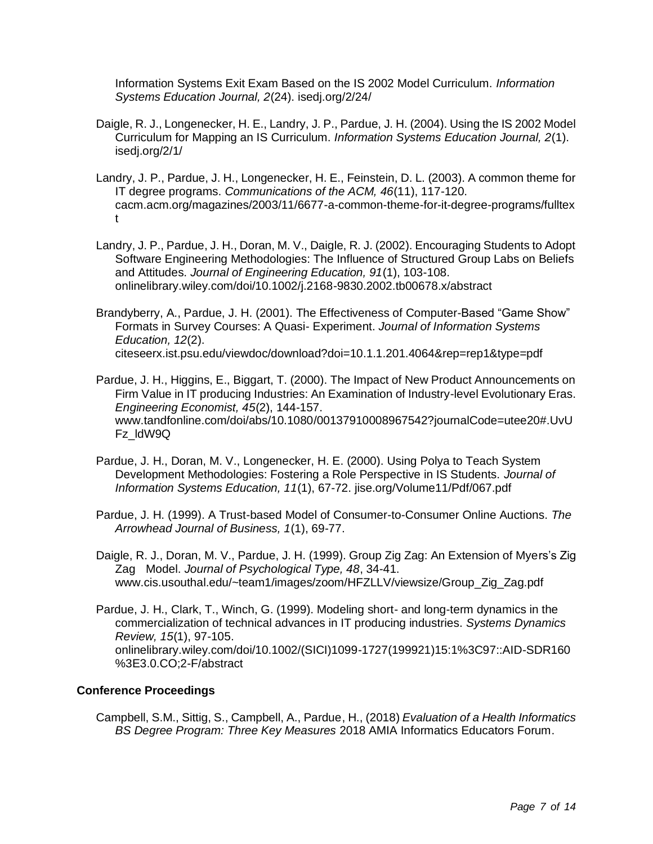Information Systems Exit Exam Based on the IS 2002 Model Curriculum. *Information Systems Education Journal, 2*(24). isedj.org/2/24/

- Daigle, R. J., Longenecker, H. E., Landry, J. P., Pardue, J. H. (2004). Using the IS 2002 Model Curriculum for Mapping an IS Curriculum. *Information Systems Education Journal, 2*(1). isedj.org/2/1/
- Landry, J. P., Pardue, J. H., Longenecker, H. E., Feinstein, D. L. (2003). A common theme for IT degree programs. *Communications of the ACM, 46*(11), 117-120. cacm.acm.org/magazines/2003/11/6677-a-common-theme-for-it-degree-programs/fulltex t
- Landry, J. P., Pardue, J. H., Doran, M. V., Daigle, R. J. (2002). Encouraging Students to Adopt Software Engineering Methodologies: The Influence of Structured Group Labs on Beliefs and Attitudes. *Journal of Engineering Education, 91*(1), 103-108. onlinelibrary.wiley.com/doi/10.1002/j.2168-9830.2002.tb00678.x/abstract
- Brandyberry, A., Pardue, J. H. (2001). The Effectiveness of Computer-Based "Game Show" Formats in Survey Courses: A Quasi- Experiment. *Journal of Information Systems Education, 12*(2). citeseerx.ist.psu.edu/viewdoc/download?doi=10.1.1.201.4064&rep=rep1&type=pdf
- Pardue, J. H., Higgins, E., Biggart, T. (2000). The Impact of New Product Announcements on Firm Value in IT producing Industries: An Examination of Industry-level Evolutionary Eras. *Engineering Economist, 45*(2), 144-157. www.tandfonline.com/doi/abs/10.1080/00137910008967542?journalCode=utee20#.UvU Fz\_ldW9Q
- Pardue, J. H., Doran, M. V., Longenecker, H. E. (2000). Using Polya to Teach System Development Methodologies: Fostering a Role Perspective in IS Students. *Journal of Information Systems Education, 11*(1), 67-72. jise.org/Volume11/Pdf/067.pdf
- Pardue, J. H. (1999). A Trust-based Model of Consumer-to-Consumer Online Auctions. *The Arrowhead Journal of Business, 1*(1), 69-77.
- Daigle, R. J., Doran, M. V., Pardue, J. H. (1999). Group Zig Zag: An Extension of Myers's Zig Zag Model. *Journal of Psychological Type, 48*, 34-41. www.cis.usouthal.edu/~team1/images/zoom/HFZLLV/viewsize/Group\_Zig\_Zag.pdf
- Pardue, J. H., Clark, T., Winch, G. (1999). Modeling short- and long-term dynamics in the commercialization of technical advances in IT producing industries. *Systems Dynamics Review, 15*(1), 97-105. onlinelibrary.wiley.com/doi/10.1002/(SICI)1099-1727(199921)15:1%3C97::AID-SDR160 %3E3.0.CO;2-F/abstract

#### **Conference Proceedings**

Campbell, S.M., Sittig, S., Campbell, A., Pardue, H., (2018) *Evaluation of a Health Informatics BS Degree Program: Three Key Measures* 2018 AMIA Informatics Educators Forum.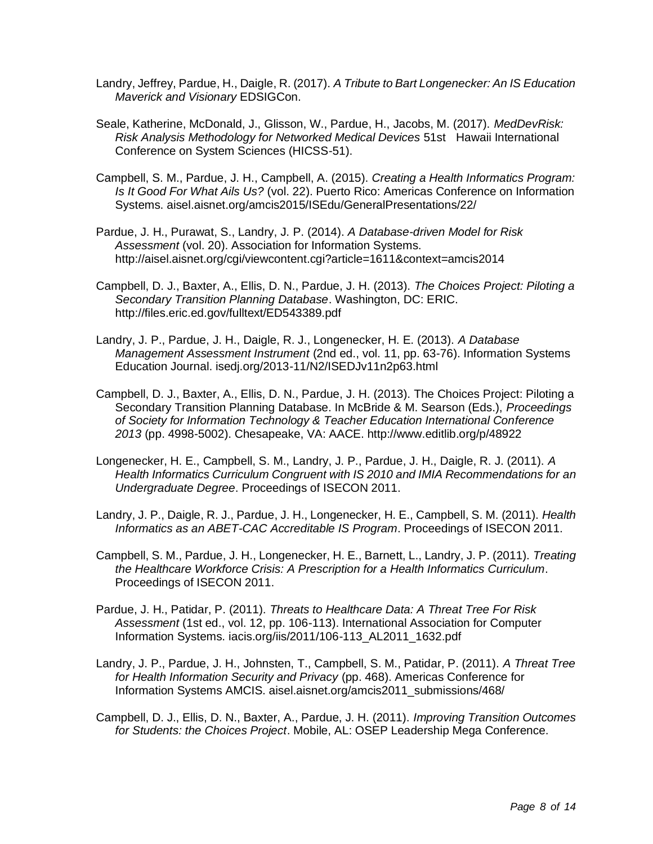- Landry, Jeffrey, Pardue, H., Daigle, R. (2017). *A Tribute to Bart Longenecker: An IS Education Maverick and Visionary* EDSIGCon.
- Seale, Katherine, McDonald, J., Glisson, W., Pardue, H., Jacobs, M. (2017). *MedDevRisk: Risk Analysis Methodology for Networked Medical Devices* 51st Hawaii International Conference on System Sciences (HICSS-51).
- Campbell, S. M., Pardue, J. H., Campbell, A. (2015). *Creating a Health Informatics Program: Is It Good For What Ails Us?* (vol. 22). Puerto Rico: Americas Conference on Information Systems. aisel.aisnet.org/amcis2015/ISEdu/GeneralPresentations/22/

Pardue, J. H., Purawat, S., Landry, J. P. (2014). *A Database-driven Model for Risk Assessment* (vol. 20). Association for Information Systems. http://aisel.aisnet.org/cgi/viewcontent.cgi?article=1611&context=amcis2014

- Campbell, D. J., Baxter, A., Ellis, D. N., Pardue, J. H. (2013). *The Choices Project: Piloting a Secondary Transition Planning Database*. Washington, DC: ERIC. http://files.eric.ed.gov/fulltext/ED543389.pdf
- Landry, J. P., Pardue, J. H., Daigle, R. J., Longenecker, H. E. (2013). *A Database Management Assessment Instrument* (2nd ed., vol. 11, pp. 63-76). Information Systems Education Journal. isedj.org/2013-11/N2/ISEDJv11n2p63.html
- Campbell, D. J., Baxter, A., Ellis, D. N., Pardue, J. H. (2013). The Choices Project: Piloting a Secondary Transition Planning Database. In McBride & M. Searson (Eds.), *Proceedings of Society for Information Technology & Teacher Education International Conference 2013* (pp. 4998-5002). Chesapeake, VA: AACE. http://www.editlib.org/p/48922
- Longenecker, H. E., Campbell, S. M., Landry, J. P., Pardue, J. H., Daigle, R. J. (2011). *A Health Informatics Curriculum Congruent with IS 2010 and IMIA Recommendations for an Undergraduate Degree*. Proceedings of ISECON 2011.
- Landry, J. P., Daigle, R. J., Pardue, J. H., Longenecker, H. E., Campbell, S. M. (2011). *Health Informatics as an ABET-CAC Accreditable IS Program*. Proceedings of ISECON 2011.
- Campbell, S. M., Pardue, J. H., Longenecker, H. E., Barnett, L., Landry, J. P. (2011). *Treating the Healthcare Workforce Crisis: A Prescription for a Health Informatics Curriculum*. Proceedings of ISECON 2011.
- Pardue, J. H., Patidar, P. (2011). *Threats to Healthcare Data: A Threat Tree For Risk Assessment* (1st ed., vol. 12, pp. 106-113). International Association for Computer Information Systems. iacis.org/iis/2011/106-113\_AL2011\_1632.pdf
- Landry, J. P., Pardue, J. H., Johnsten, T., Campbell, S. M., Patidar, P. (2011). *A Threat Tree for Health Information Security and Privacy* (pp. 468). Americas Conference for Information Systems AMCIS. aisel.aisnet.org/amcis2011\_submissions/468/
- Campbell, D. J., Ellis, D. N., Baxter, A., Pardue, J. H. (2011). *Improving Transition Outcomes for Students: the Choices Project*. Mobile, AL: OSEP Leadership Mega Conference.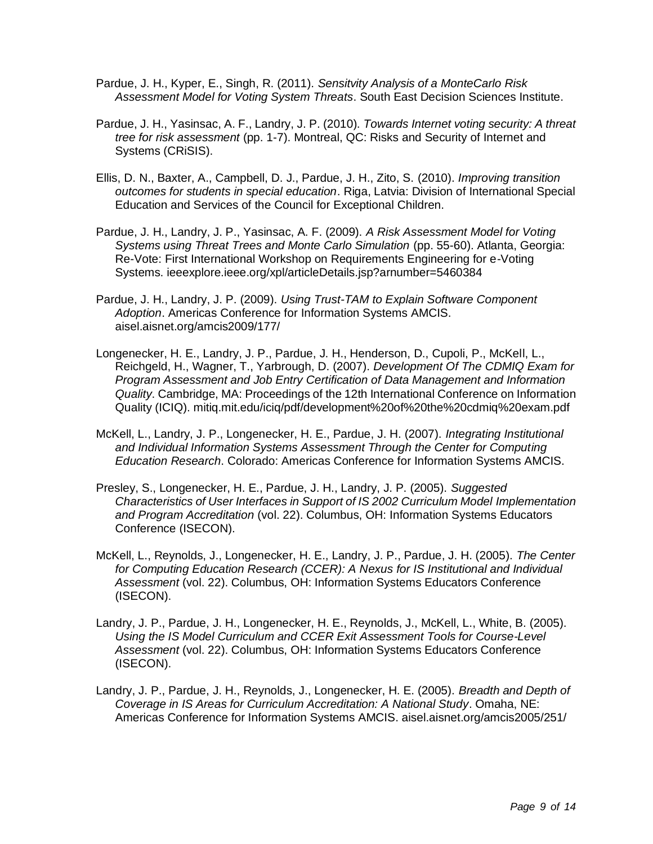- Pardue, J. H., Kyper, E., Singh, R. (2011). *Sensitvity Analysis of a MonteCarlo Risk Assessment Model for Voting System Threats*. South East Decision Sciences Institute.
- Pardue, J. H., Yasinsac, A. F., Landry, J. P. (2010). *Towards Internet voting security: A threat tree for risk assessment* (pp. 1-7). Montreal, QC: Risks and Security of Internet and Systems (CRiSIS).
- Ellis, D. N., Baxter, A., Campbell, D. J., Pardue, J. H., Zito, S. (2010). *Improving transition outcomes for students in special education*. Riga, Latvia: Division of International Special Education and Services of the Council for Exceptional Children.
- Pardue, J. H., Landry, J. P., Yasinsac, A. F. (2009). *A Risk Assessment Model for Voting Systems using Threat Trees and Monte Carlo Simulation* (pp. 55-60). Atlanta, Georgia: Re-Vote: First International Workshop on Requirements Engineering for e-Voting Systems. ieeexplore.ieee.org/xpl/articleDetails.jsp?arnumber=5460384
- Pardue, J. H., Landry, J. P. (2009). *Using Trust-TAM to Explain Software Component Adoption*. Americas Conference for Information Systems AMCIS. aisel.aisnet.org/amcis2009/177/
- Longenecker, H. E., Landry, J. P., Pardue, J. H., Henderson, D., Cupoli, P., McKell, L., Reichgeld, H., Wagner, T., Yarbrough, D. (2007). *Development Of The CDMIQ Exam for Program Assessment and Job Entry Certification of Data Management and Information Quality*. Cambridge, MA: Proceedings of the 12th International Conference on Information Quality (ICIQ). mitiq.mit.edu/iciq/pdf/development%20of%20the%20cdmiq%20exam.pdf
- McKell, L., Landry, J. P., Longenecker, H. E., Pardue, J. H. (2007). *Integrating Institutional and Individual Information Systems Assessment Through the Center for Computing Education Research*. Colorado: Americas Conference for Information Systems AMCIS.
- Presley, S., Longenecker, H. E., Pardue, J. H., Landry, J. P. (2005). *Suggested Characteristics of User Interfaces in Support of IS 2002 Curriculum Model Implementation and Program Accreditation* (vol. 22). Columbus, OH: Information Systems Educators Conference (ISECON).
- McKell, L., Reynolds, J., Longenecker, H. E., Landry, J. P., Pardue, J. H. (2005). *The Center for Computing Education Research (CCER): A Nexus for IS Institutional and Individual Assessment* (vol. 22). Columbus, OH: Information Systems Educators Conference (ISECON).
- Landry, J. P., Pardue, J. H., Longenecker, H. E., Reynolds, J., McKell, L., White, B. (2005). *Using the IS Model Curriculum and CCER Exit Assessment Tools for Course-Level Assessment* (vol. 22). Columbus, OH: Information Systems Educators Conference (ISECON).
- Landry, J. P., Pardue, J. H., Reynolds, J., Longenecker, H. E. (2005). *Breadth and Depth of Coverage in IS Areas for Curriculum Accreditation: A National Study*. Omaha, NE: Americas Conference for Information Systems AMCIS. aisel.aisnet.org/amcis2005/251/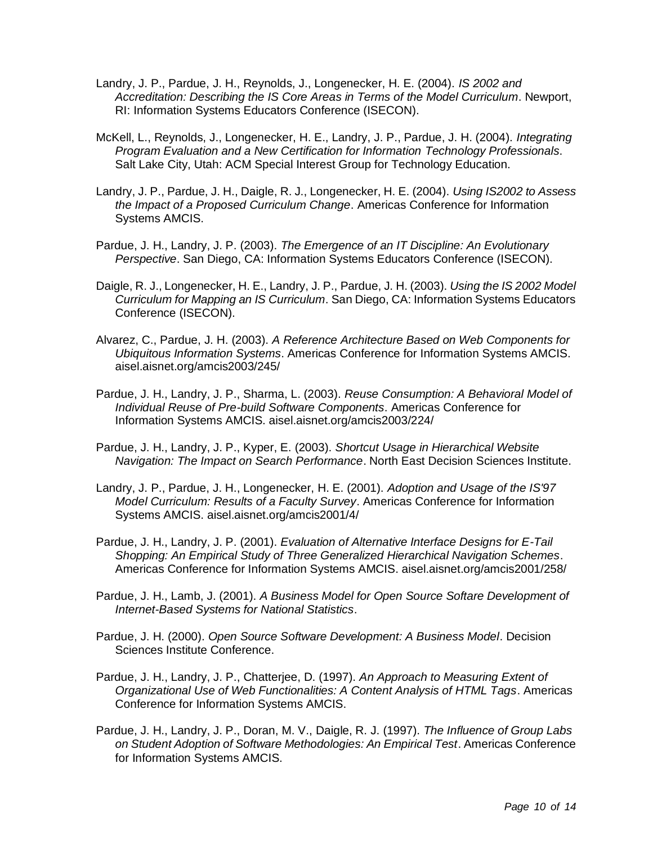- Landry, J. P., Pardue, J. H., Reynolds, J., Longenecker, H. E. (2004). *IS 2002 and Accreditation: Describing the IS Core Areas in Terms of the Model Curriculum*. Newport, RI: Information Systems Educators Conference (ISECON).
- McKell, L., Reynolds, J., Longenecker, H. E., Landry, J. P., Pardue, J. H. (2004). *Integrating Program Evaluation and a New Certification for Information Technology Professionals*. Salt Lake City, Utah: ACM Special Interest Group for Technology Education.
- Landry, J. P., Pardue, J. H., Daigle, R. J., Longenecker, H. E. (2004). *Using IS2002 to Assess the Impact of a Proposed Curriculum Change*. Americas Conference for Information Systems AMCIS.
- Pardue, J. H., Landry, J. P. (2003). *The Emergence of an IT Discipline: An Evolutionary Perspective*. San Diego, CA: Information Systems Educators Conference (ISECON).
- Daigle, R. J., Longenecker, H. E., Landry, J. P., Pardue, J. H. (2003). *Using the IS 2002 Model Curriculum for Mapping an IS Curriculum*. San Diego, CA: Information Systems Educators Conference (ISECON).
- Alvarez, C., Pardue, J. H. (2003). *A Reference Architecture Based on Web Components for Ubiquitous Information Systems*. Americas Conference for Information Systems AMCIS. aisel.aisnet.org/amcis2003/245/
- Pardue, J. H., Landry, J. P., Sharma, L. (2003). *Reuse Consumption: A Behavioral Model of Individual Reuse of Pre-build Software Components*. Americas Conference for Information Systems AMCIS. aisel.aisnet.org/amcis2003/224/
- Pardue, J. H., Landry, J. P., Kyper, E. (2003). *Shortcut Usage in Hierarchical Website Navigation: The Impact on Search Performance*. North East Decision Sciences Institute.
- Landry, J. P., Pardue, J. H., Longenecker, H. E. (2001). *Adoption and Usage of the IS'97 Model Curriculum: Results of a Faculty Survey*. Americas Conference for Information Systems AMCIS. aisel.aisnet.org/amcis2001/4/
- Pardue, J. H., Landry, J. P. (2001). *Evaluation of Alternative Interface Designs for E-Tail Shopping: An Empirical Study of Three Generalized Hierarchical Navigation Schemes*. Americas Conference for Information Systems AMCIS. aisel.aisnet.org/amcis2001/258/
- Pardue, J. H., Lamb, J. (2001). *A Business Model for Open Source Softare Development of Internet-Based Systems for National Statistics*.
- Pardue, J. H. (2000). *Open Source Software Development: A Business Model*. Decision Sciences Institute Conference.
- Pardue, J. H., Landry, J. P., Chatterjee, D. (1997). *An Approach to Measuring Extent of Organizational Use of Web Functionalities: A Content Analysis of HTML Tags*. Americas Conference for Information Systems AMCIS.
- Pardue, J. H., Landry, J. P., Doran, M. V., Daigle, R. J. (1997). *The Influence of Group Labs on Student Adoption of Software Methodologies: An Empirical Test*. Americas Conference for Information Systems AMCIS.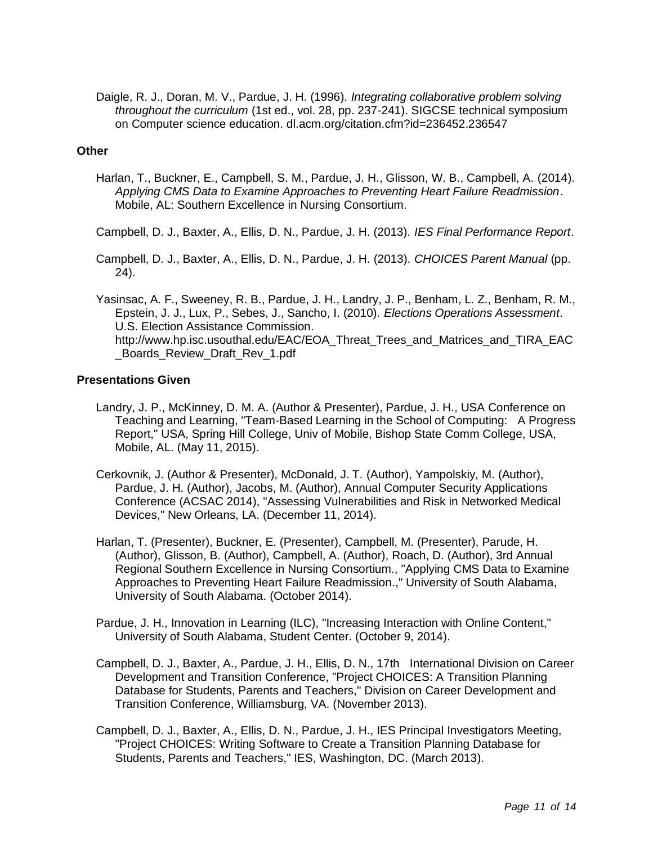Daigle, R. J., Doran, M. V., Pardue, J. H. (1996). *Integrating collaborative problem solving throughout the curriculum* (1st ed., vol. 28, pp. 237-241). SIGCSE technical symposium on Computer science education. dl.acm.org/citation.cfm?id=236452.236547

#### **Other**

Harlan, T., Buckner, E., Campbell, S. M., Pardue, J. H., Glisson, W. B., Campbell, A. (2014). *Applying CMS Data to Examine Approaches to Preventing Heart Failure Readmission*. Mobile, AL: Southern Excellence in Nursing Consortium.

Campbell, D. J., Baxter, A., Ellis, D. N., Pardue, J. H. (2013). *IES Final Performance Report*.

Campbell, D. J., Baxter, A., Ellis, D. N., Pardue, J. H. (2013). *CHOICES Parent Manual* (pp. 24).

Yasinsac, A. F., Sweeney, R. B., Pardue, J. H., Landry, J. P., Benham, L. Z., Benham, R. M., Epstein, J. J., Lux, P., Sebes, J., Sancho, I. (2010). *Elections Operations Assessment*. U.S. Election Assistance Commission. http://www.hp.isc.usouthal.edu/EAC/EOA\_Threat\_Trees\_and\_Matrices\_and\_TIRA\_EAC Boards Review Draft Rev 1.pdf

#### **Presentations Given**

- Landry, J. P., McKinney, D. M. A. (Author & Presenter), Pardue, J. H., USA Conference on Teaching and Learning, "Team-Based Learning in the School of Computing: A Progress Report," USA, Spring Hill College, Univ of Mobile, Bishop State Comm College, USA, Mobile, AL. (May 11, 2015).
- Cerkovnik, J. (Author & Presenter), McDonald, J. T. (Author), Yampolskiy, M. (Author), Pardue, J. H. (Author), Jacobs, M. (Author), Annual Computer Security Applications Conference (ACSAC 2014), "Assessing Vulnerabilities and Risk in Networked Medical Devices," New Orleans, LA. (December 11, 2014).
- Harlan, T. (Presenter), Buckner, E. (Presenter), Campbell, M. (Presenter), Parude, H. (Author), Glisson, B. (Author), Campbell, A. (Author), Roach, D. (Author), 3rd Annual Regional Southern Excellence in Nursing Consortium., "Applying CMS Data to Examine Approaches to Preventing Heart Failure Readmission.," University of South Alabama, University of South Alabama. (October 2014).
- Pardue, J. H., Innovation in Learning (ILC), "Increasing Interaction with Online Content," University of South Alabama, Student Center. (October 9, 2014).
- Campbell, D. J., Baxter, A., Pardue, J. H., Ellis, D. N., 17th International Division on Career Development and Transition Conference, "Project CHOICES: A Transition Planning Database for Students, Parents and Teachers," Division on Career Development and Transition Conference, Williamsburg, VA. (November 2013).
- Campbell, D. J., Baxter, A., Ellis, D. N., Pardue, J. H., IES Principal Investigators Meeting, "Project CHOICES: Writing Software to Create a Transition Planning Database for Students, Parents and Teachers," IES, Washington, DC. (March 2013).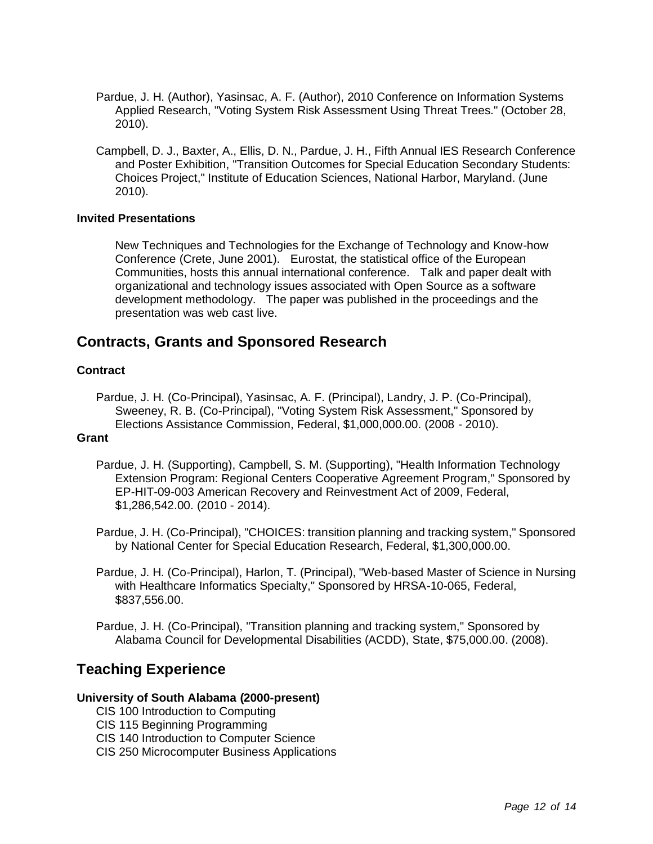- Pardue, J. H. (Author), Yasinsac, A. F. (Author), 2010 Conference on Information Systems Applied Research, "Voting System Risk Assessment Using Threat Trees." (October 28, 2010).
- Campbell, D. J., Baxter, A., Ellis, D. N., Pardue, J. H., Fifth Annual IES Research Conference and Poster Exhibition, "Transition Outcomes for Special Education Secondary Students: Choices Project," Institute of Education Sciences, National Harbor, Maryland. (June 2010).

#### **Invited Presentations**

New Techniques and Technologies for the Exchange of Technology and Know-how Conference (Crete, June 2001). Eurostat, the statistical office of the European Communities, hosts this annual international conference. Talk and paper dealt with organizational and technology issues associated with Open Source as a software development methodology. The paper was published in the proceedings and the presentation was web cast live.

### **Contracts, Grants and Sponsored Research**

#### **Contract**

Pardue, J. H. (Co-Principal), Yasinsac, A. F. (Principal), Landry, J. P. (Co-Principal), Sweeney, R. B. (Co-Principal), "Voting System Risk Assessment," Sponsored by Elections Assistance Commission, Federal, \$1,000,000.00. (2008 - 2010).

#### **Grant**

Pardue, J. H. (Supporting), Campbell, S. M. (Supporting), "Health Information Technology Extension Program: Regional Centers Cooperative Agreement Program," Sponsored by EP-HIT-09-003 American Recovery and Reinvestment Act of 2009, Federal, \$1,286,542.00. (2010 - 2014).

Pardue, J. H. (Co-Principal), "CHOICES: transition planning and tracking system," Sponsored by National Center for Special Education Research, Federal, \$1,300,000.00.

Pardue, J. H. (Co-Principal), Harlon, T. (Principal), "Web-based Master of Science in Nursing with Healthcare Informatics Specialty," Sponsored by HRSA-10-065, Federal, \$837,556.00.

Pardue, J. H. (Co-Principal), "Transition planning and tracking system," Sponsored by Alabama Council for Developmental Disabilities (ACDD), State, \$75,000.00. (2008).

### **Teaching Experience**

#### **University of South Alabama (2000-present)**

- CIS 100 Introduction to Computing
- CIS 115 Beginning Programming
- CIS 140 Introduction to Computer Science
- CIS 250 Microcomputer Business Applications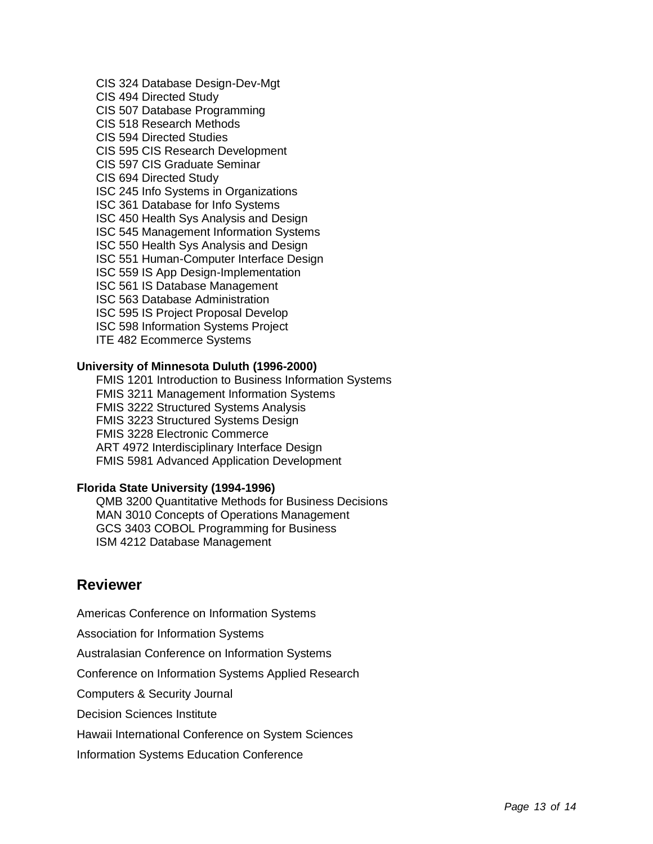CIS 324 Database Design-Dev-Mgt CIS 494 Directed Study CIS 507 Database Programming CIS 518 Research Methods CIS 594 Directed Studies CIS 595 CIS Research Development CIS 597 CIS Graduate Seminar CIS 694 Directed Study ISC 245 Info Systems in Organizations ISC 361 Database for Info Systems ISC 450 Health Sys Analysis and Design ISC 545 Management Information Systems ISC 550 Health Sys Analysis and Design ISC 551 Human-Computer Interface Design ISC 559 IS App Design-Implementation ISC 561 IS Database Management ISC 563 Database Administration ISC 595 IS Project Proposal Develop ISC 598 Information Systems Project ITE 482 Ecommerce Systems

#### **University of Minnesota Duluth (1996-2000)**

FMIS 1201 Introduction to Business Information Systems FMIS 3211 Management Information Systems FMIS 3222 Structured Systems Analysis FMIS 3223 Structured Systems Design FMIS 3228 Electronic Commerce ART 4972 Interdisciplinary Interface Design FMIS 5981 Advanced Application Development

#### **Florida State University (1994-1996)**

QMB 3200 Quantitative Methods for Business Decisions MAN 3010 Concepts of Operations Management GCS 3403 COBOL Programming for Business ISM 4212 Database Management

### **Reviewer**

Americas Conference on Information Systems Association for Information Systems Australasian Conference on Information Systems Conference on Information Systems Applied Research Computers & Security Journal Decision Sciences Institute Hawaii International Conference on System Sciences Information Systems Education Conference